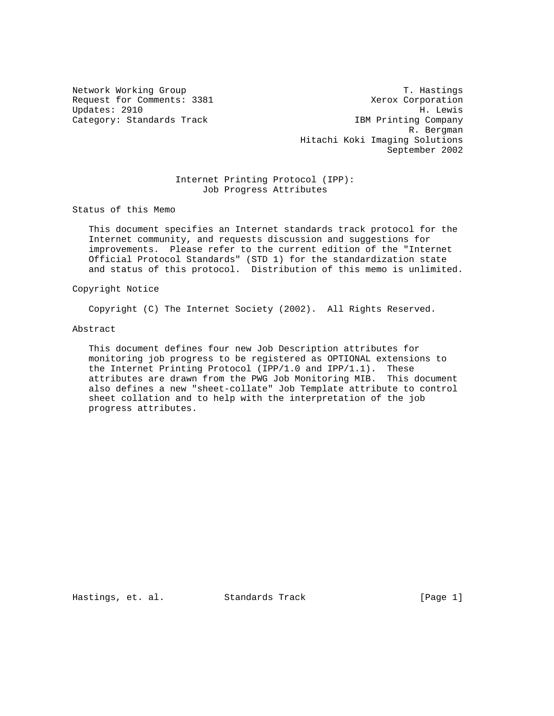Network Working Group T. Hastings Request for Comments: 3381 Xerox Corporation Updates: 2910 H. Lewis Category: Standards Track IBM Printing Company R. Bergman Hitachi Koki Imaging Solutions September 2002

# Internet Printing Protocol (IPP): Job Progress Attributes

Status of this Memo

 This document specifies an Internet standards track protocol for the Internet community, and requests discussion and suggestions for improvements. Please refer to the current edition of the "Internet Official Protocol Standards" (STD 1) for the standardization state and status of this protocol. Distribution of this memo is unlimited.

Copyright Notice

Copyright (C) The Internet Society (2002). All Rights Reserved.

### Abstract

 This document defines four new Job Description attributes for monitoring job progress to be registered as OPTIONAL extensions to the Internet Printing Protocol (IPP/1.0 and IPP/1.1). These attributes are drawn from the PWG Job Monitoring MIB. This document also defines a new "sheet-collate" Job Template attribute to control sheet collation and to help with the interpretation of the job progress attributes.

Hastings, et. al. Standards Track [Page 1]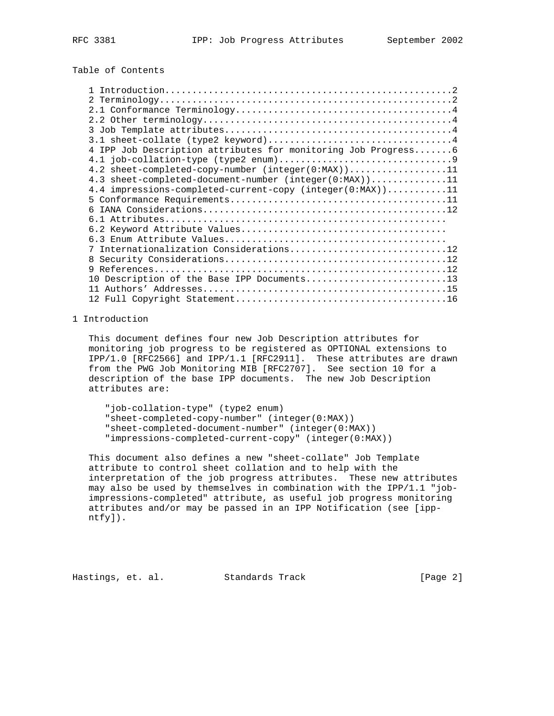# Table of Contents

| 4 IPP Job Description attributes for monitoring Job Progress6 |
|---------------------------------------------------------------|
|                                                               |
| 4.2 sheet-completed-copy-number $(integer(0:MAX))$ 11         |
| 4.3 sheet-completed-document-number (integer(0:MAX))11        |
| 4.4 impressions-completed-current-copy (integer(0:MAX))11     |
|                                                               |
|                                                               |
|                                                               |
|                                                               |
|                                                               |
| 7 Internationalization Considerations12                       |
| 8                                                             |
| q                                                             |
| 10 Description of the Base IPP Documents13                    |
|                                                               |
|                                                               |

# 1 Introduction

 This document defines four new Job Description attributes for monitoring job progress to be registered as OPTIONAL extensions to IPP/1.0 [RFC2566] and IPP/1.1 [RFC2911]. These attributes are drawn from the PWG Job Monitoring MIB [RFC2707]. See section 10 for a description of the base IPP documents. The new Job Description attributes are:

 "job-collation-type" (type2 enum) "sheet-completed-copy-number" (integer(0:MAX)) "sheet-completed-document-number" (integer(0:MAX)) "impressions-completed-current-copy" (integer(0:MAX))

 This document also defines a new "sheet-collate" Job Template attribute to control sheet collation and to help with the interpretation of the job progress attributes. These new attributes may also be used by themselves in combination with the IPP/1.1 "job impressions-completed" attribute, as useful job progress monitoring attributes and/or may be passed in an IPP Notification (see [ipp ntfy]).

Hastings, et. al. Standards Track [Page 2]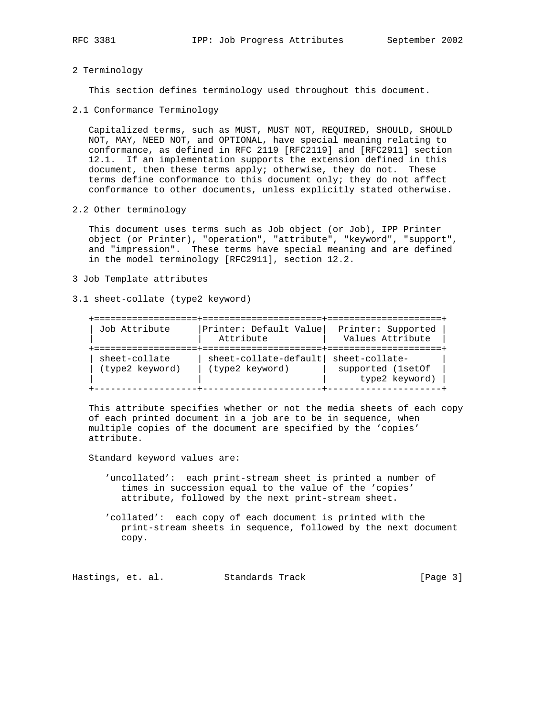### 2 Terminology

This section defines terminology used throughout this document.

2.1 Conformance Terminology

 Capitalized terms, such as MUST, MUST NOT, REQUIRED, SHOULD, SHOULD NOT, MAY, NEED NOT, and OPTIONAL, have special meaning relating to conformance, as defined in RFC 2119 [RFC2119] and [RFC2911] section 12.1. If an implementation supports the extension defined in this document, then these terms apply; otherwise, they do not. These terms define conformance to this document only; they do not affect conformance to other documents, unless explicitly stated otherwise.

2.2 Other terminology

 This document uses terms such as Job object (or Job), IPP Printer object (or Printer), "operation", "attribute", "keyword", "support", and "impression". These terms have special meaning and are defined in the model terminology [RFC2911], section 12.2.

- 3 Job Template attributes
- 3.1 sheet-collate (type2 keyword)

| Job Attribute                    | Printer: Default Value<br>Attribute      | Printer: Supported<br>Values Attribute                |
|----------------------------------|------------------------------------------|-------------------------------------------------------|
| sheet-collate<br>(type2 keyword) | sheet-collate-default<br>(type2 keyword) | sheet-collate-<br>supported (1setOf<br>type2 keyword) |

 This attribute specifies whether or not the media sheets of each copy of each printed document in a job are to be in sequence, when multiple copies of the document are specified by the 'copies' attribute.

Standard keyword values are:

- 'uncollated': each print-stream sheet is printed a number of times in succession equal to the value of the 'copies' attribute, followed by the next print-stream sheet.
- 'collated': each copy of each document is printed with the print-stream sheets in sequence, followed by the next document copy.

Hastings, et. al. Standards Track [Page 3]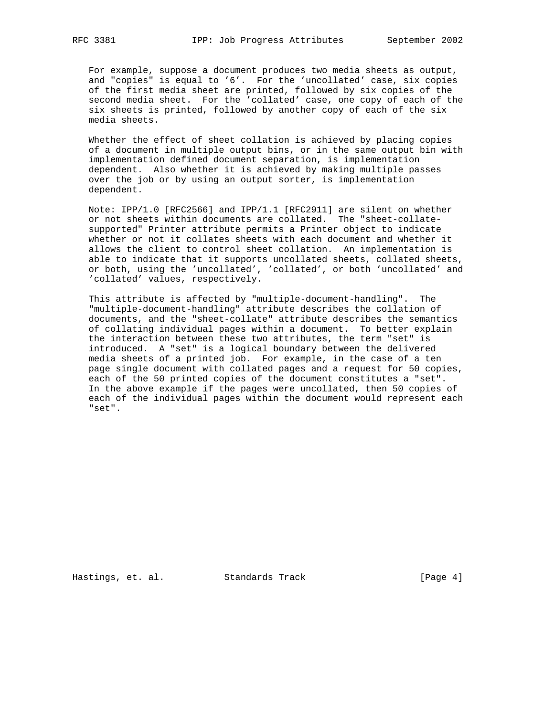For example, suppose a document produces two media sheets as output, and "copies" is equal to '6'. For the 'uncollated' case, six copies of the first media sheet are printed, followed by six copies of the second media sheet. For the 'collated' case, one copy of each of the six sheets is printed, followed by another copy of each of the six media sheets.

 Whether the effect of sheet collation is achieved by placing copies of a document in multiple output bins, or in the same output bin with implementation defined document separation, is implementation dependent. Also whether it is achieved by making multiple passes over the job or by using an output sorter, is implementation dependent.

 Note: IPP/1.0 [RFC2566] and IPP/1.1 [RFC2911] are silent on whether or not sheets within documents are collated. The "sheet-collate supported" Printer attribute permits a Printer object to indicate whether or not it collates sheets with each document and whether it allows the client to control sheet collation. An implementation is able to indicate that it supports uncollated sheets, collated sheets, or both, using the 'uncollated', 'collated', or both 'uncollated' and 'collated' values, respectively.

 This attribute is affected by "multiple-document-handling". The "multiple-document-handling" attribute describes the collation of documents, and the "sheet-collate" attribute describes the semantics of collating individual pages within a document. To better explain the interaction between these two attributes, the term "set" is introduced. A "set" is a logical boundary between the delivered media sheets of a printed job. For example, in the case of a ten page single document with collated pages and a request for 50 copies, each of the 50 printed copies of the document constitutes a "set". In the above example if the pages were uncollated, then 50 copies of each of the individual pages within the document would represent each "set".

Hastings, et. al. Standards Track [Page 4]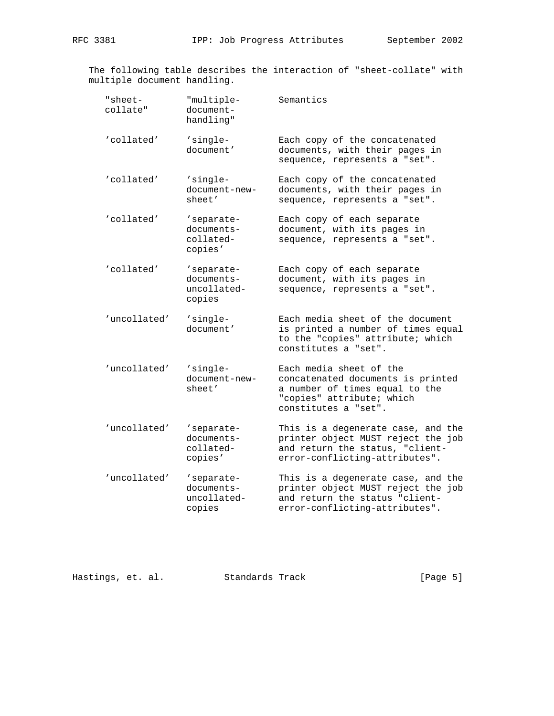The following table describes the interaction of "sheet-collate" with multiple document handling.

| "sheet-<br>collate" | "multiple-<br>document-<br>handling"              | Semantics                                                                                                                                           |
|---------------------|---------------------------------------------------|-----------------------------------------------------------------------------------------------------------------------------------------------------|
| 'collated'          | 'single-<br>document'                             | Each copy of the concatenated<br>documents, with their pages in<br>sequence, represents a "set".                                                    |
| 'collated'          | 'single-<br>document-new-<br>sheet'               | Each copy of the concatenated<br>documents, with their pages in<br>sequence, represents a "set".                                                    |
| 'collated'          | 'separate-<br>documents-<br>collated-<br>copies'  | Each copy of each separate<br>document, with its pages in<br>sequence, represents a "set".                                                          |
| 'collated'          | 'separate-<br>documents-<br>uncollated-<br>copies | Each copy of each separate<br>document, with its pages in<br>sequence, represents a "set".                                                          |
| 'uncollated'        | 'single-<br>document'                             | Each media sheet of the document<br>is printed a number of times equal<br>to the "copies" attribute; which<br>constitutes a "set".                  |
| 'uncollated'        | 'single-<br>document-new-<br>sheet'               | Each media sheet of the<br>concatenated documents is printed<br>a number of times equal to the<br>"copies" attribute; which<br>constitutes a "set". |
| 'uncollated'        | 'separate-<br>documents-<br>collated-<br>copies'  | This is a degenerate case, and the<br>printer object MUST reject the job<br>and return the status, "client-<br>error-conflicting-attributes".       |
| 'uncollated'        | 'separate-<br>documents-<br>uncollated-<br>copies | This is a degenerate case, and the<br>printer object MUST reject the job<br>and return the status "client-<br>error-conflicting-attributes".        |

Hastings, et. al. Standards Track [Page 5]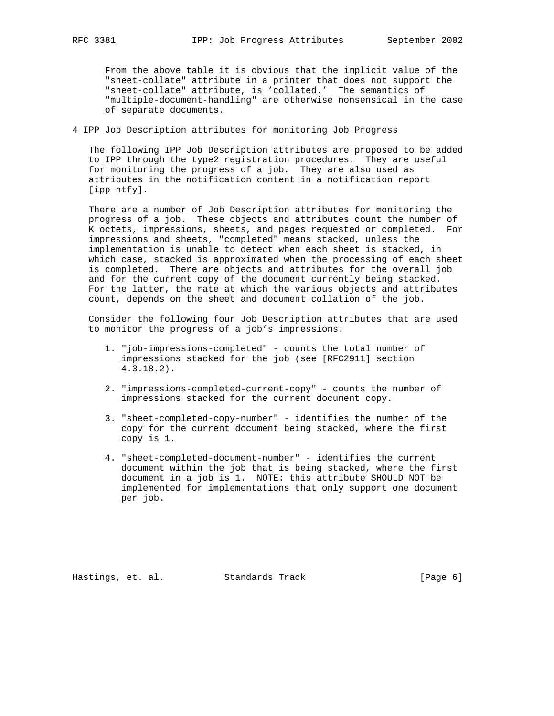From the above table it is obvious that the implicit value of the "sheet-collate" attribute in a printer that does not support the "sheet-collate" attribute, is 'collated.' The semantics of "multiple-document-handling" are otherwise nonsensical in the case of separate documents.

# 4 IPP Job Description attributes for monitoring Job Progress

 The following IPP Job Description attributes are proposed to be added to IPP through the type2 registration procedures. They are useful for monitoring the progress of a job. They are also used as attributes in the notification content in a notification report [ipp-ntfy].

 There are a number of Job Description attributes for monitoring the progress of a job. These objects and attributes count the number of K octets, impressions, sheets, and pages requested or completed. For impressions and sheets, "completed" means stacked, unless the implementation is unable to detect when each sheet is stacked, in which case, stacked is approximated when the processing of each sheet is completed. There are objects and attributes for the overall job and for the current copy of the document currently being stacked. For the latter, the rate at which the various objects and attributes count, depends on the sheet and document collation of the job.

 Consider the following four Job Description attributes that are used to monitor the progress of a job's impressions:

- 1. "job-impressions-completed" counts the total number of impressions stacked for the job (see [RFC2911] section 4.3.18.2).
- 2. "impressions-completed-current-copy" counts the number of impressions stacked for the current document copy.
- 3. "sheet-completed-copy-number" identifies the number of the copy for the current document being stacked, where the first copy is 1.
- 4. "sheet-completed-document-number" identifies the current document within the job that is being stacked, where the first document in a job is 1. NOTE: this attribute SHOULD NOT be implemented for implementations that only support one document per job.

Hastings, et. al. Standards Track [Page 6]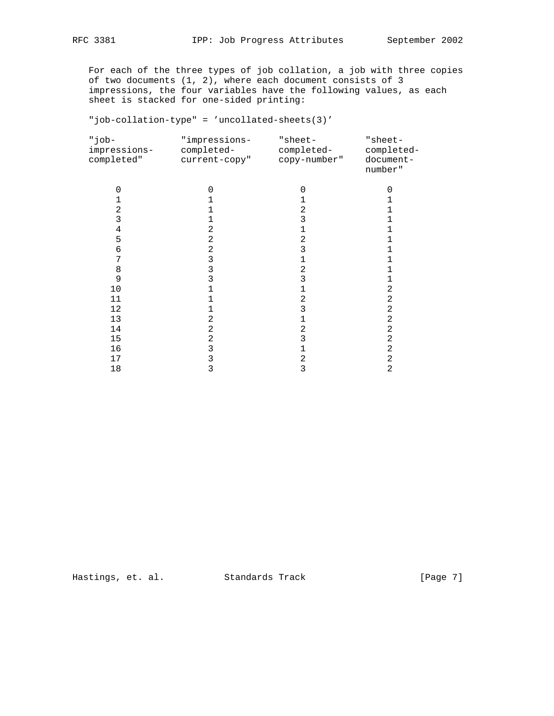For each of the three types of job collation, a job with three copies of two documents (1, 2), where each document consists of 3 impressions, the four variables have the following values, as each sheet is stacked for one-sided printing:

"job-collation-type" = 'uncollated-sheets(3)'

| -dot"<br>impressions-<br>completed" | "impressions-<br>completed-<br>current-copy" | "sheet-<br>completed-<br>copy-number" | "sheet-<br>completed-<br>document-<br>number" |
|-------------------------------------|----------------------------------------------|---------------------------------------|-----------------------------------------------|
| $\Omega$                            | 0                                            | 0                                     | 0                                             |
|                                     |                                              |                                       |                                               |
| 2                                   |                                              | 2                                     |                                               |
| 3                                   | 1                                            | 3                                     | 1                                             |
| 4                                   | 2                                            | 1                                     | 1                                             |
| 5                                   | 2                                            | 2                                     | 1                                             |
| 6                                   | 2                                            | 3                                     |                                               |
| 7                                   | 3                                            | 1                                     |                                               |
| 8                                   | 3                                            | 2                                     |                                               |
| 9                                   | 3                                            | 3                                     | 1                                             |
| $10$                                |                                              | 1                                     | 2                                             |
| 11                                  | 1                                            | 2                                     | 2                                             |
| 12                                  | 1                                            | 3                                     | $\overline{a}$                                |
| 13                                  | 2                                            | 1                                     | 2                                             |
| 14                                  | 2                                            | 2                                     | 2                                             |
| 15                                  | $\overline{2}$                               | 3                                     | 2                                             |
| 16                                  | 3                                            | 1                                     | $\overline{a}$                                |
| 17                                  | 3                                            | 2                                     | 2                                             |
| 18                                  | 3                                            | 3                                     | $\overline{2}$                                |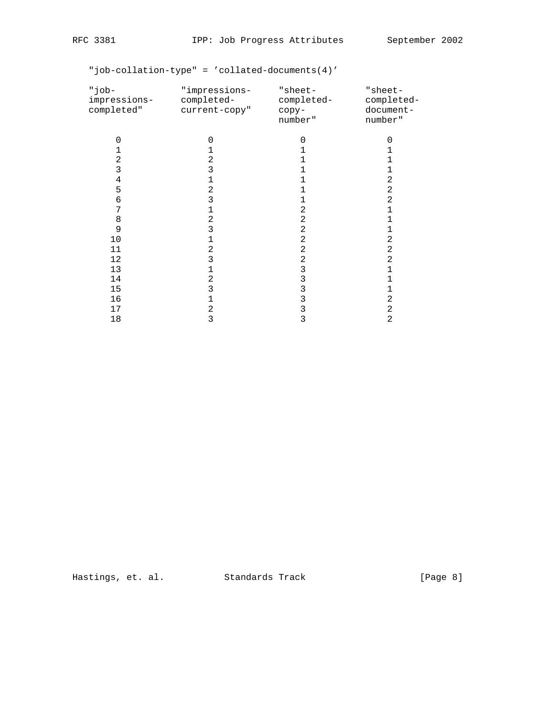"job-collation-type" = 'collated-documents(4)'

| -dot"<br>impressions-<br>completed" | "impressions-<br>completed-<br>current-copy" | $"sheet-$<br>completed-<br>сору-<br>number" | "sheet-<br>completed-<br>document-<br>number" |
|-------------------------------------|----------------------------------------------|---------------------------------------------|-----------------------------------------------|
| 0                                   | 0                                            | 0                                           | $\Omega$                                      |
|                                     |                                              |                                             |                                               |
| 2                                   | 2                                            |                                             |                                               |
| 3                                   | 3                                            |                                             |                                               |
| 4                                   |                                              |                                             | 2                                             |
| 5                                   | 2                                            |                                             | $\mathbf 2$                                   |
| 6                                   | 3                                            |                                             | $\overline{a}$                                |
| 7                                   |                                              | 2                                           | 1                                             |
| 8                                   | 2                                            | 2                                           | 1                                             |
| 9                                   | 3                                            | 2                                           | 1                                             |
| 10                                  | 1                                            | 2                                           | $\sqrt{2}$                                    |
| 11                                  | 2                                            | 2                                           | $\sqrt{2}$                                    |
| 12                                  | 3                                            | 2                                           | 2                                             |
| 13                                  | 1                                            | 3                                           | 1                                             |
| 14                                  | 2                                            | 3                                           | 1                                             |
| 15                                  | 3                                            | 3                                           | 1                                             |
| 16                                  | 1                                            | 3                                           | 2                                             |
| 17                                  | 2                                            | 3                                           | 2                                             |
| 18                                  | 3                                            | 3                                           | 2                                             |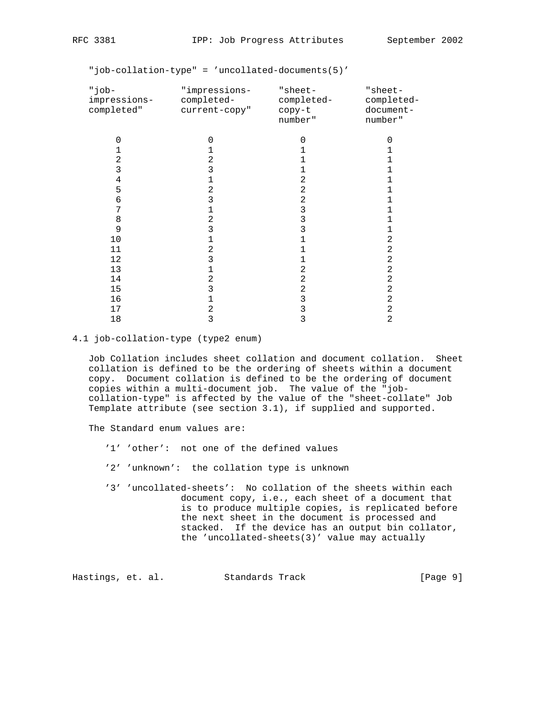"job-collation-type" = 'uncollated-documents(5)'

| -dot"<br>impressions-<br>completed" | "impressions-<br>completed-<br>current-copy" | "sheet-<br>completed-<br>copy-t<br>number" | "sheet-<br>completed-<br>document-<br>number" |
|-------------------------------------|----------------------------------------------|--------------------------------------------|-----------------------------------------------|
| $\Omega$                            | $\Omega$                                     | $\Omega$                                   | 0                                             |
|                                     | 1                                            | 1                                          |                                               |
| 2                                   | 2                                            | 1                                          |                                               |
| 3                                   | 3                                            | 1                                          |                                               |
| 4                                   | 1                                            | 2                                          |                                               |
| 5                                   | 2                                            | $\overline{a}$                             |                                               |
| 6                                   | 3                                            | 2                                          |                                               |
| 7                                   | 1                                            | 3                                          |                                               |
| 8                                   | 2                                            | 3                                          | 1                                             |
| 9                                   | 3                                            | 3                                          | 1                                             |
| 10                                  | 1                                            | 1                                          | 2                                             |
| 11                                  | 2                                            | 1                                          | 2                                             |
| 12                                  | 3                                            | 1                                          | 2                                             |
| 13                                  | 1                                            | 2                                          | 2                                             |
| 14                                  | 2                                            | $\overline{2}$                             | $\overline{a}$                                |
| 15                                  | 3                                            | $\overline{2}$                             | $\overline{a}$                                |
| 16                                  | 1                                            | 3                                          | $\overline{a}$                                |
| 17                                  | 2                                            | $\mathsf 3$                                | 2                                             |
| 18                                  | 3                                            | 3                                          | 2                                             |

### 4.1 job-collation-type (type2 enum)

 Job Collation includes sheet collation and document collation. Sheet collation is defined to be the ordering of sheets within a document copy. Document collation is defined to be the ordering of document copies within a multi-document job. The value of the "job collation-type" is affected by the value of the "sheet-collate" Job Template attribute (see section 3.1), if supplied and supported.

The Standard enum values are:

- '1' 'other': not one of the defined values
- '2' 'unknown': the collation type is unknown
- '3' 'uncollated-sheets': No collation of the sheets within each document copy, i.e., each sheet of a document that is to produce multiple copies, is replicated before the next sheet in the document is processed and stacked. If the device has an output bin collator, the 'uncollated-sheets(3)' value may actually

Hastings, et. al. Standards Track [Page 9]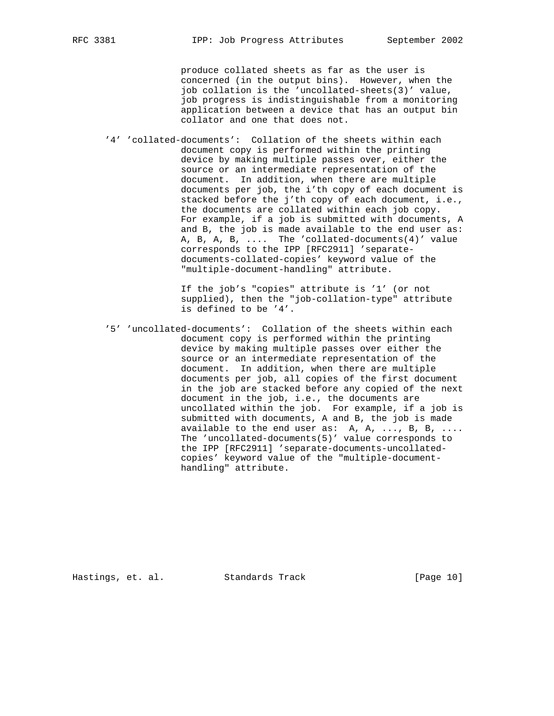produce collated sheets as far as the user is concerned (in the output bins). However, when the job collation is the 'uncollated-sheets(3)' value, job progress is indistinguishable from a monitoring application between a device that has an output bin collator and one that does not.

 '4' 'collated-documents': Collation of the sheets within each document copy is performed within the printing device by making multiple passes over, either the source or an intermediate representation of the document. In addition, when there are multiple documents per job, the i'th copy of each document is stacked before the j'th copy of each document, i.e., the documents are collated within each job copy. For example, if a job is submitted with documents, A and B, the job is made available to the end user as: A, B, A, B, .... The 'collated-documents(4)' value corresponds to the IPP [RFC2911] 'separate documents-collated-copies' keyword value of the "multiple-document-handling" attribute.

> If the job's "copies" attribute is '1' (or not supplied), then the "job-collation-type" attribute is defined to be '4'.

 '5' 'uncollated-documents': Collation of the sheets within each document copy is performed within the printing device by making multiple passes over either the source or an intermediate representation of the document. In addition, when there are multiple documents per job, all copies of the first document in the job are stacked before any copied of the next document in the job, i.e., the documents are uncollated within the job. For example, if a job is submitted with documents, A and B, the job is made available to the end user as: A, A, ..., B, B, .... The 'uncollated-documents(5)' value corresponds to the IPP [RFC2911] 'separate-documents-uncollated copies' keyword value of the "multiple-document handling" attribute.

Hastings, et. al. Standards Track [Page 10]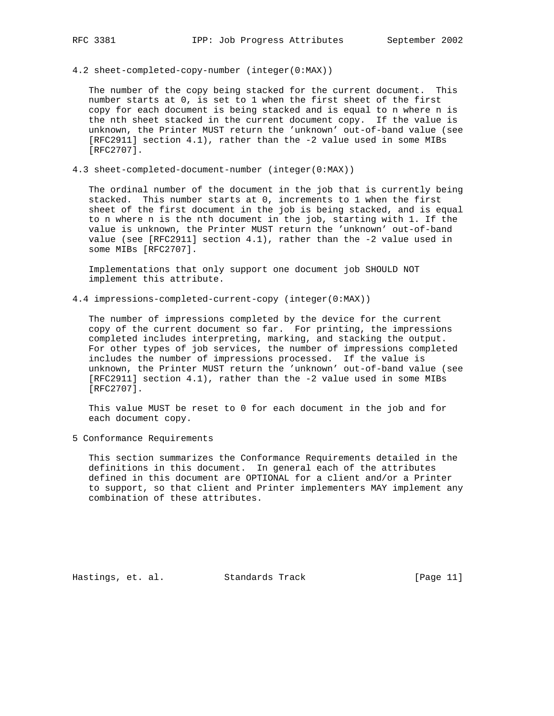4.2 sheet-completed-copy-number (integer(0:MAX))

 The number of the copy being stacked for the current document. This number starts at 0, is set to 1 when the first sheet of the first copy for each document is being stacked and is equal to n where n is the nth sheet stacked in the current document copy. If the value is unknown, the Printer MUST return the 'unknown' out-of-band value (see [RFC2911] section 4.1), rather than the -2 value used in some MIBs [RFC2707].

4.3 sheet-completed-document-number (integer(0:MAX))

 The ordinal number of the document in the job that is currently being stacked. This number starts at 0, increments to 1 when the first sheet of the first document in the job is being stacked, and is equal to n where n is the nth document in the job, starting with 1. If the value is unknown, the Printer MUST return the 'unknown' out-of-band value (see [RFC2911] section 4.1), rather than the -2 value used in some MIBs [RFC2707].

 Implementations that only support one document job SHOULD NOT implement this attribute.

4.4 impressions-completed-current-copy (integer(0:MAX))

 The number of impressions completed by the device for the current copy of the current document so far. For printing, the impressions completed includes interpreting, marking, and stacking the output. For other types of job services, the number of impressions completed includes the number of impressions processed. If the value is unknown, the Printer MUST return the 'unknown' out-of-band value (see [RFC2911] section 4.1), rather than the -2 value used in some MIBs [RFC2707].

 This value MUST be reset to 0 for each document in the job and for each document copy.

5 Conformance Requirements

 This section summarizes the Conformance Requirements detailed in the definitions in this document. In general each of the attributes defined in this document are OPTIONAL for a client and/or a Printer to support, so that client and Printer implementers MAY implement any combination of these attributes.

Hastings, et. al. Standards Track [Page 11]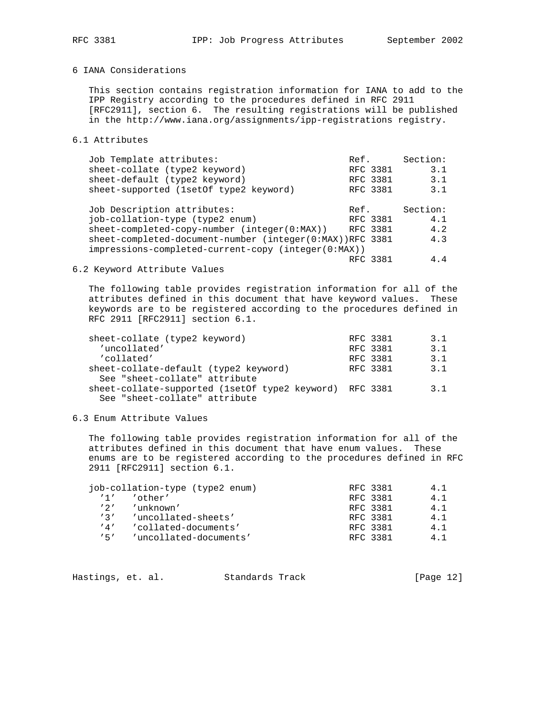# 6 IANA Considerations

 This section contains registration information for IANA to add to the IPP Registry according to the procedures defined in RFC 2911 [RFC2911], section 6. The resulting registrations will be published in the http://www.iana.org/assignments/ipp-registrations registry.

# 6.1 Attributes

| Job Template attributes:                                 | Ref.     | Section: |
|----------------------------------------------------------|----------|----------|
| sheet-collate (type2 keyword)                            | RFC 3381 | 3.1      |
| sheet-default (type2 keyword)                            | RFC 3381 | 3.1      |
| sheet-supported (1setOf type2 keyword)                   | RFC 3381 | 3.1      |
| Job Description attributes:                              | Ref.     | Section: |
| job-collation-type (type2 enum)                          | RFC 3381 | 4.1      |
| $sheet-completed-copy-number (integer(0:MAX))$           | RFC 3381 | 4.2      |
| sheet-completed-document-number (integer(0:MAX))RFC 3381 |          | 4.3      |
| impressions-completed-current-copy (integer(0:MAX))      |          |          |
|                                                          | RFC 3381 | 4.4      |

# 6.2 Keyword Attribute Values

 The following table provides registration information for all of the attributes defined in this document that have keyword values. These keywords are to be registered according to the procedures defined in RFC 2911 [RFC2911] section 6.1.

| sheet-collate (type2 keyword)                           | RFC 3381 | 31  |
|---------------------------------------------------------|----------|-----|
| 'uncollated'                                            | RFC 3381 | 3.1 |
| 'collated'                                              | RFC 3381 | 3.1 |
| sheet-collate-default (type2 keyword)                   | RFC 3381 | 3.1 |
| See "sheet-collate" attribute                           |          |     |
| sheet-collate-supported (1setOf type2 keyword) RFC 3381 |          | 3.1 |
| See "sheet-collate" attribute                           |          |     |

### 6.3 Enum Attribute Values

 The following table provides registration information for all of the attributes defined in this document that have enum values. These enums are to be registered according to the procedures defined in RFC 2911 [RFC2911] section 6.1.

|                 | job-collation-type (type2 enum) | RFC 3381 | 41  |
|-----------------|---------------------------------|----------|-----|
| 11 <sup>1</sup> | 'other'                         | RFC 3381 | 4.1 |
| 121             | 'unknown'                       | RFC 3381 | 4 1 |
| 121             | 'uncollated-sheets'             | RFC 3381 | 4.1 |
| '4'             | 'collated-documents'            | RFC 3381 | 4 1 |
| 151             | 'uncollated-documents'          | RFC 3381 | 4 1 |

| Hastings, et. al.<br>Standards Track | [Page 12] |  |
|--------------------------------------|-----------|--|
|--------------------------------------|-----------|--|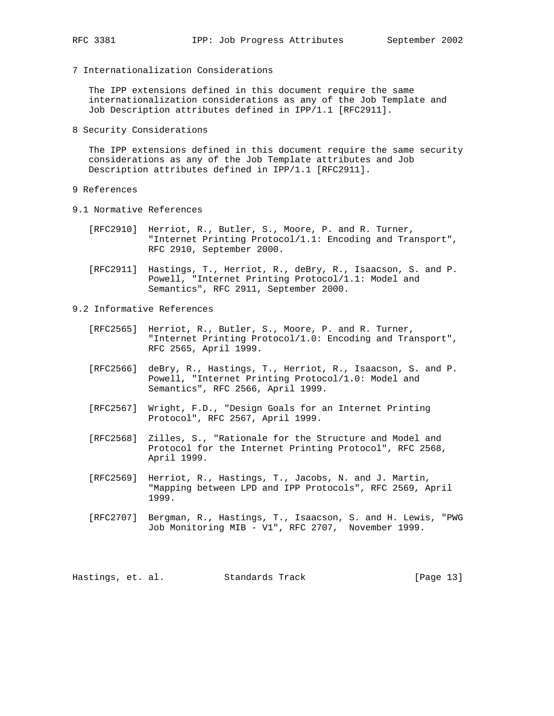- 
- 7 Internationalization Considerations

 The IPP extensions defined in this document require the same internationalization considerations as any of the Job Template and Job Description attributes defined in IPP/1.1 [RFC2911].

8 Security Considerations

 The IPP extensions defined in this document require the same security considerations as any of the Job Template attributes and Job Description attributes defined in IPP/1.1 [RFC2911].

- 9 References
- 9.1 Normative References
	- [RFC2910] Herriot, R., Butler, S., Moore, P. and R. Turner, "Internet Printing Protocol/1.1: Encoding and Transport", RFC 2910, September 2000.
	- [RFC2911] Hastings, T., Herriot, R., deBry, R., Isaacson, S. and P. Powell, "Internet Printing Protocol/1.1: Model and Semantics", RFC 2911, September 2000.
- 9.2 Informative References
	- [RFC2565] Herriot, R., Butler, S., Moore, P. and R. Turner, "Internet Printing Protocol/1.0: Encoding and Transport", RFC 2565, April 1999.
	- [RFC2566] deBry, R., Hastings, T., Herriot, R., Isaacson, S. and P. Powell, "Internet Printing Protocol/1.0: Model and Semantics", RFC 2566, April 1999.
	- [RFC2567] Wright, F.D., "Design Goals for an Internet Printing Protocol", RFC 2567, April 1999.
	- [RFC2568] Zilles, S., "Rationale for the Structure and Model and Protocol for the Internet Printing Protocol", RFC 2568, April 1999.
	- [RFC2569] Herriot, R., Hastings, T., Jacobs, N. and J. Martin, "Mapping between LPD and IPP Protocols", RFC 2569, April 1999.
	- [RFC2707] Bergman, R., Hastings, T., Isaacson, S. and H. Lewis, "PWG Job Monitoring MIB - V1", RFC 2707, November 1999.

Hastings, et. al. Standards Track [Page 13]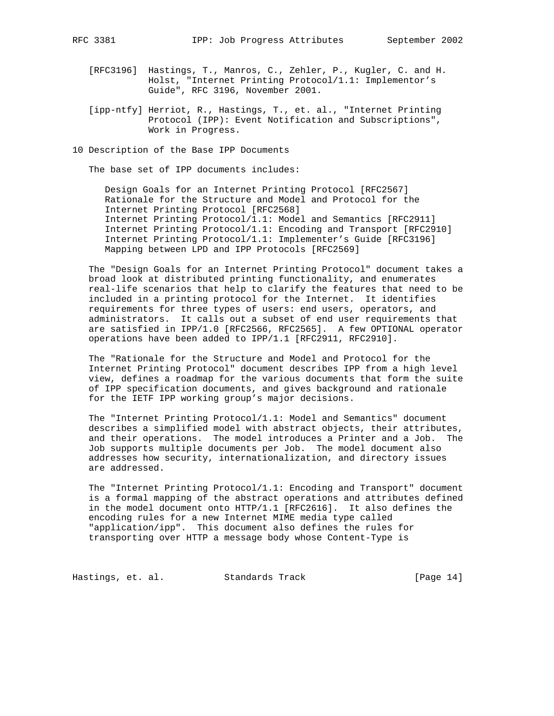- [RFC3196] Hastings, T., Manros, C., Zehler, P., Kugler, C. and H. Holst, "Internet Printing Protocol/1.1: Implementor's Guide", RFC 3196, November 2001.
- [ipp-ntfy] Herriot, R., Hastings, T., et. al., "Internet Printing Protocol (IPP): Event Notification and Subscriptions", Work in Progress.
- 10 Description of the Base IPP Documents

The base set of IPP documents includes:

 Design Goals for an Internet Printing Protocol [RFC2567] Rationale for the Structure and Model and Protocol for the Internet Printing Protocol [RFC2568] Internet Printing Protocol/1.1: Model and Semantics [RFC2911] Internet Printing Protocol/1.1: Encoding and Transport [RFC2910] Internet Printing Protocol/1.1: Implementer's Guide [RFC3196] Mapping between LPD and IPP Protocols [RFC2569]

 The "Design Goals for an Internet Printing Protocol" document takes a broad look at distributed printing functionality, and enumerates real-life scenarios that help to clarify the features that need to be included in a printing protocol for the Internet. It identifies requirements for three types of users: end users, operators, and administrators. It calls out a subset of end user requirements that are satisfied in IPP/1.0 [RFC2566, RFC2565]. A few OPTIONAL operator operations have been added to IPP/1.1 [RFC2911, RFC2910].

 The "Rationale for the Structure and Model and Protocol for the Internet Printing Protocol" document describes IPP from a high level view, defines a roadmap for the various documents that form the suite of IPP specification documents, and gives background and rationale for the IETF IPP working group's major decisions.

 The "Internet Printing Protocol/1.1: Model and Semantics" document describes a simplified model with abstract objects, their attributes, and their operations. The model introduces a Printer and a Job. The Job supports multiple documents per Job. The model document also addresses how security, internationalization, and directory issues are addressed.

 The "Internet Printing Protocol/1.1: Encoding and Transport" document is a formal mapping of the abstract operations and attributes defined in the model document onto HTTP/1.1 [RFC2616]. It also defines the encoding rules for a new Internet MIME media type called "application/ipp". This document also defines the rules for transporting over HTTP a message body whose Content-Type is

Hastings, et. al. Standards Track [Page 14]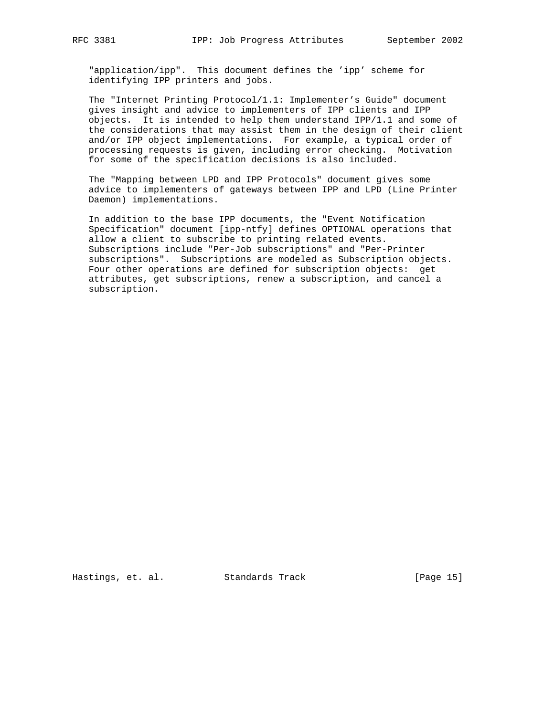"application/ipp". This document defines the 'ipp' scheme for identifying IPP printers and jobs.

 The "Internet Printing Protocol/1.1: Implementer's Guide" document gives insight and advice to implementers of IPP clients and IPP objects. It is intended to help them understand IPP/1.1 and some of the considerations that may assist them in the design of their client and/or IPP object implementations. For example, a typical order of processing requests is given, including error checking. Motivation for some of the specification decisions is also included.

 The "Mapping between LPD and IPP Protocols" document gives some advice to implementers of gateways between IPP and LPD (Line Printer Daemon) implementations.

 In addition to the base IPP documents, the "Event Notification Specification" document [ipp-ntfy] defines OPTIONAL operations that allow a client to subscribe to printing related events. Subscriptions include "Per-Job subscriptions" and "Per-Printer subscriptions". Subscriptions are modeled as Subscription objects. Four other operations are defined for subscription objects: get attributes, get subscriptions, renew a subscription, and cancel a subscription.

Hastings, et. al. Standards Track [Page 15]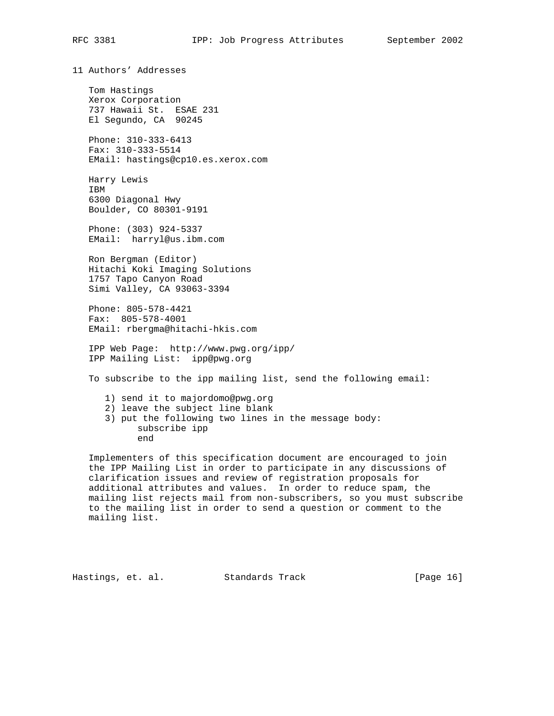11 Authors' Addresses

 Tom Hastings Xerox Corporation 737 Hawaii St. ESAE 231 El Segundo, CA 90245

 Phone: 310-333-6413 Fax: 310-333-5514 EMail: hastings@cp10.es.xerox.com

 Harry Lewis IBM 6300 Diagonal Hwy Boulder, CO 80301-9191

 Phone: (303) 924-5337 EMail: harryl@us.ibm.com

 Ron Bergman (Editor) Hitachi Koki Imaging Solutions 1757 Tapo Canyon Road Simi Valley, CA 93063-3394

 Phone: 805-578-4421 Fax: 805-578-4001 EMail: rbergma@hitachi-hkis.com

 IPP Web Page: http://www.pwg.org/ipp/ IPP Mailing List: ipp@pwg.org

To subscribe to the ipp mailing list, send the following email:

- 1) send it to majordomo@pwg.org
- 2) leave the subject line blank

 3) put the following two lines in the message body: subscribe ipp end

 Implementers of this specification document are encouraged to join the IPP Mailing List in order to participate in any discussions of clarification issues and review of registration proposals for additional attributes and values. In order to reduce spam, the mailing list rejects mail from non-subscribers, so you must subscribe to the mailing list in order to send a question or comment to the mailing list.

Hastings, et. al. Standards Track [Page 16]